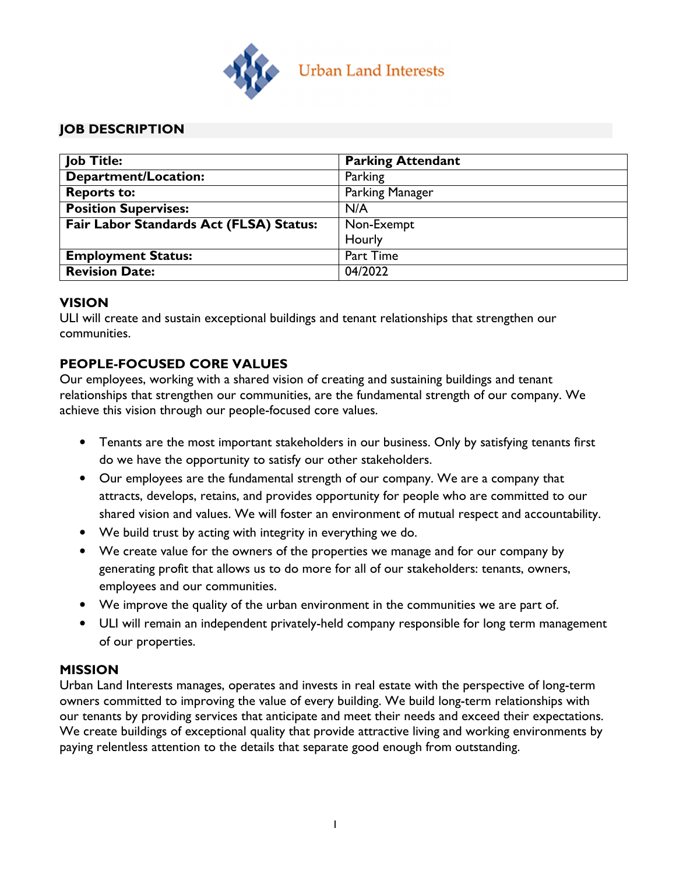

## JOB DESCRIPTION

| <b>Job Title:</b>                       | <b>Parking Attendant</b> |
|-----------------------------------------|--------------------------|
| <b>Department/Location:</b>             | Parking                  |
| <b>Reports to:</b>                      | Parking Manager          |
| <b>Position Supervises:</b>             | N/A                      |
| Fair Labor Standards Act (FLSA) Status: | Non-Exempt               |
|                                         | Hourly                   |
| <b>Employment Status:</b>               | Part Time                |
| <b>Revision Date:</b>                   | 04/2022                  |

### VISION

ULI will create and sustain exceptional buildings and tenant relationships that strengthen our communities.

# PEOPLE-FOCUSED CORE VALUES

Our employees, working with a shared vision of creating and sustaining buildings and tenant relationships that strengthen our communities, are the fundamental strength of our company. We achieve this vision through our people-focused core values.

- Tenants are the most important stakeholders in our business. Only by satisfying tenants first do we have the opportunity to satisfy our other stakeholders.
- Our employees are the fundamental strength of our company. We are a company that attracts, develops, retains, and provides opportunity for people who are committed to our shared vision and values. We will foster an environment of mutual respect and accountability.
- We build trust by acting with integrity in everything we do.
- We create value for the owners of the properties we manage and for our company by generating profit that allows us to do more for all of our stakeholders: tenants, owners, employees and our communities.
- We improve the quality of the urban environment in the communities we are part of.
- ULI will remain an independent privately-held company responsible for long term management of our properties.

### MISSION

Urban Land Interests manages, operates and invests in real estate with the perspective of long-term owners committed to improving the value of every building. We build long-term relationships with our tenants by providing services that anticipate and meet their needs and exceed their expectations. We create buildings of exceptional quality that provide attractive living and working environments by paying relentless attention to the details that separate good enough from outstanding.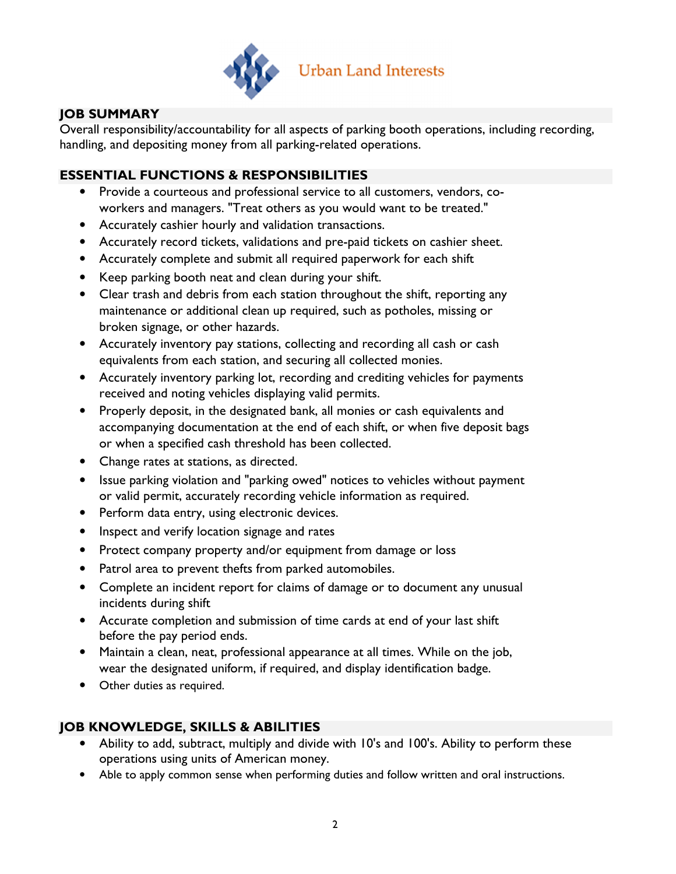

# JOB SUMMARY

Overall responsibility/accountability for all aspects of parking booth operations, including recording, handling, and depositing money from all parking-related operations.

## ESSENTIAL FUNCTIONS & RESPONSIBILITIES

- Provide a courteous and professional service to all customers, vendors, coworkers and managers. "Treat others as you would want to be treated."
- Accurately cashier hourly and validation transactions.
- Accurately record tickets, validations and pre-paid tickets on cashier sheet.
- Accurately complete and submit all required paperwork for each shift
- Keep parking booth neat and clean during your shift.
- Clear trash and debris from each station throughout the shift, reporting any maintenance or additional clean up required, such as potholes, missing or broken signage, or other hazards.
- Accurately inventory pay stations, collecting and recording all cash or cash equivalents from each station, and securing all collected monies.
- Accurately inventory parking lot, recording and crediting vehicles for payments received and noting vehicles displaying valid permits.
- Properly deposit, in the designated bank, all monies or cash equivalents and accompanying documentation at the end of each shift, or when five deposit bags or when a specified cash threshold has been collected.
- Change rates at stations, as directed.
- Issue parking violation and "parking owed" notices to vehicles without payment or valid permit, accurately recording vehicle information as required.
- Perform data entry, using electronic devices.
- Inspect and verify location signage and rates
- Protect company property and/or equipment from damage or loss
- Patrol area to prevent thefts from parked automobiles.
- Complete an incident report for claims of damage or to document any unusual incidents during shift
- Accurate completion and submission of time cards at end of your last shift before the pay period ends.
- Maintain a clean, neat, professional appearance at all times. While on the job, wear the designated uniform, if required, and display identification badge.
- Other duties as required.

### JOB KNOWLEDGE, SKILLS & ABILITIES

- Ability to add, subtract, multiply and divide with 10's and 100's. Ability to perform these operations using units of American money.
- Able to apply common sense when performing duties and follow written and oral instructions.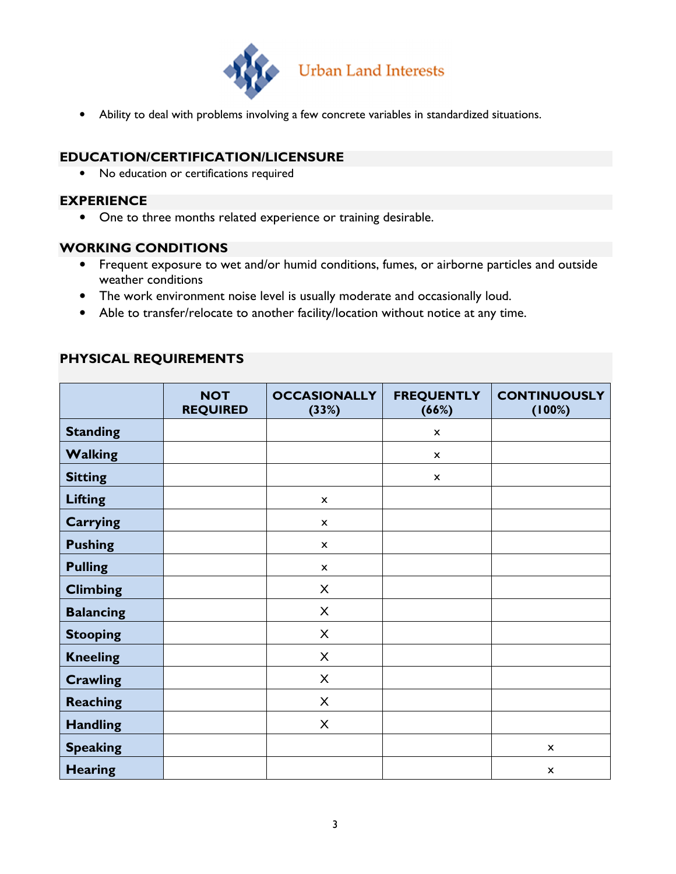

• Ability to deal with problems involving a few concrete variables in standardized situations.

### EDUCATION/CERTIFICATION/LICENSURE

• No education or certifications required

### EXPERIENCE

• One to three months related experience or training desirable.

#### WORKING CONDITIONS

- Frequent exposure to wet and/or humid conditions, fumes, or airborne particles and outside weather conditions
- The work environment noise level is usually moderate and occasionally loud.
- Able to transfer/relocate to another facility/location without notice at any time.

### PHYSICAL REQUIREMENTS

|                  | <b>NOT</b><br><b>REQUIRED</b> | <b>OCCASIONALLY</b><br>(33%) | <b>FREQUENTLY</b><br>(66%) | <b>CONTINUOUSLY</b><br>(100%) |
|------------------|-------------------------------|------------------------------|----------------------------|-------------------------------|
| <b>Standing</b>  |                               |                              | $\boldsymbol{\mathsf{x}}$  |                               |
| <b>Walking</b>   |                               |                              | $\boldsymbol{\mathsf{x}}$  |                               |
| <b>Sitting</b>   |                               |                              | $\boldsymbol{\mathsf{x}}$  |                               |
| <b>Lifting</b>   |                               | $\pmb{\mathsf{x}}$           |                            |                               |
| <b>Carrying</b>  |                               | $\boldsymbol{\mathsf{x}}$    |                            |                               |
| <b>Pushing</b>   |                               | $\boldsymbol{\mathsf{x}}$    |                            |                               |
| <b>Pulling</b>   |                               | $\boldsymbol{\mathsf{x}}$    |                            |                               |
| <b>Climbing</b>  |                               | X                            |                            |                               |
| <b>Balancing</b> |                               | X                            |                            |                               |
| <b>Stooping</b>  |                               | X                            |                            |                               |
| <b>Kneeling</b>  |                               | X                            |                            |                               |
| <b>Crawling</b>  |                               | $\mathsf{X}$                 |                            |                               |
| <b>Reaching</b>  |                               | $\mathsf{X}$                 |                            |                               |
| <b>Handling</b>  |                               | $\mathsf{X}$                 |                            |                               |
| <b>Speaking</b>  |                               |                              |                            | $\boldsymbol{\mathsf{x}}$     |
| <b>Hearing</b>   |                               |                              |                            | $\pmb{\times}$                |